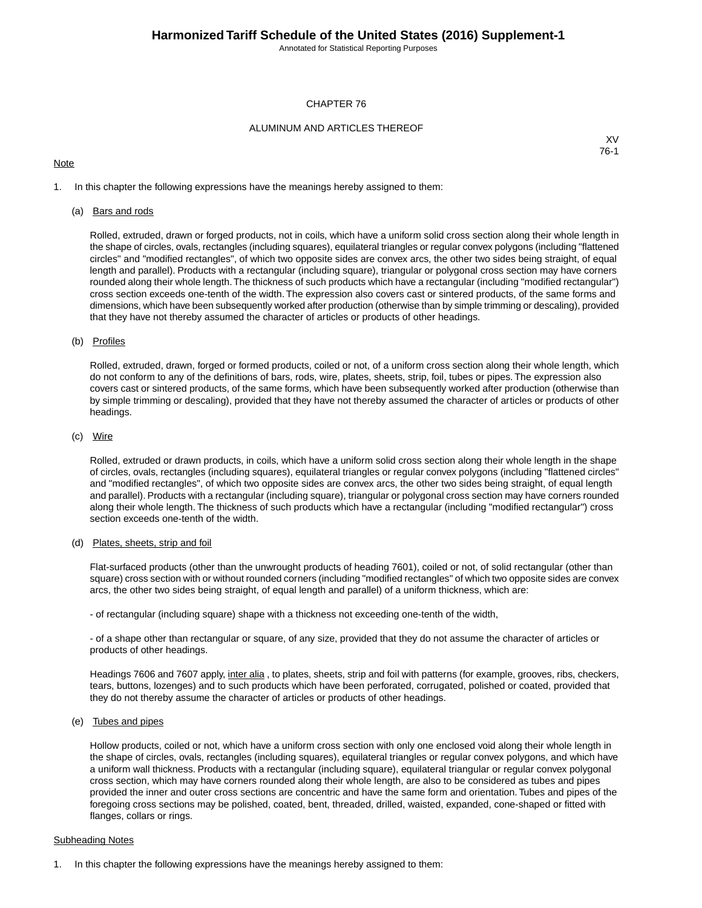Annotated for Statistical Reporting Purposes

### CHAPTER 76

### ALUMINUM AND ARTICLES THEREOF

### **Note**

XV 76-1

1. In this chapter the following expressions have the meanings hereby assigned to them:

### (a) Bars and rods

Rolled, extruded, drawn or forged products, not in coils, which have a uniform solid cross section along their whole length in the shape of circles, ovals, rectangles (including squares), equilateral triangles or regular convex polygons (including "flattened circles" and "modified rectangles", of which two opposite sides are convex arcs, the other two sides being straight, of equal length and parallel). Products with a rectangular (including square), triangular or polygonal cross section may have corners rounded along their whole length.The thickness of such products which have a rectangular (including "modified rectangular") cross section exceeds one-tenth of the width. The expression also covers cast or sintered products, of the same forms and dimensions, which have been subsequently worked after production (otherwise than by simple trimming or descaling), provided that they have not thereby assumed the character of articles or products of other headings.

### (b) Profiles

Rolled, extruded, drawn, forged or formed products, coiled or not, of a uniform cross section along their whole length, which do not conform to any of the definitions of bars, rods, wire, plates, sheets, strip, foil, tubes or pipes. The expression also covers cast or sintered products, of the same forms, which have been subsequently worked after production (otherwise than by simple trimming or descaling), provided that they have not thereby assumed the character of articles or products of other headings.

### (c) Wire

Rolled, extruded or drawn products, in coils, which have a uniform solid cross section along their whole length in the shape of circles, ovals, rectangles (including squares), equilateral triangles or regular convex polygons (including "flattened circles" and "modified rectangles", of which two opposite sides are convex arcs, the other two sides being straight, of equal length and parallel). Products with a rectangular (including square), triangular or polygonal cross section may have corners rounded along their whole length. The thickness of such products which have a rectangular (including "modified rectangular") cross section exceeds one-tenth of the width.

### (d) Plates, sheets, strip and foil

Flat-surfaced products (other than the unwrought products of heading 7601), coiled or not, of solid rectangular (other than square) cross section with or without rounded corners (including "modified rectangles" of which two opposite sides are convex arcs, the other two sides being straight, of equal length and parallel) of a uniform thickness, which are:

- of rectangular (including square) shape with a thickness not exceeding one-tenth of the width,

- of a shape other than rectangular or square, of any size, provided that they do not assume the character of articles or products of other headings.

Headings 7606 and 7607 apply, inter alia, to plates, sheets, strip and foil with patterns (for example, grooves, ribs, checkers, tears, buttons, lozenges) and to such products which have been perforated, corrugated, polished or coated, provided that they do not thereby assume the character of articles or products of other headings.

### (e) Tubes and pipes

Hollow products, coiled or not, which have a uniform cross section with only one enclosed void along their whole length in the shape of circles, ovals, rectangles (including squares), equilateral triangles or regular convex polygons, and which have a uniform wall thickness. Products with a rectangular (including square), equilateral triangular or regular convex polygonal cross section, which may have corners rounded along their whole length, are also to be considered as tubes and pipes provided the inner and outer cross sections are concentric and have the same form and orientation. Tubes and pipes of the foregoing cross sections may be polished, coated, bent, threaded, drilled, waisted, expanded, cone-shaped or fitted with flanges, collars or rings.

### Subheading Notes

1. In this chapter the following expressions have the meanings hereby assigned to them: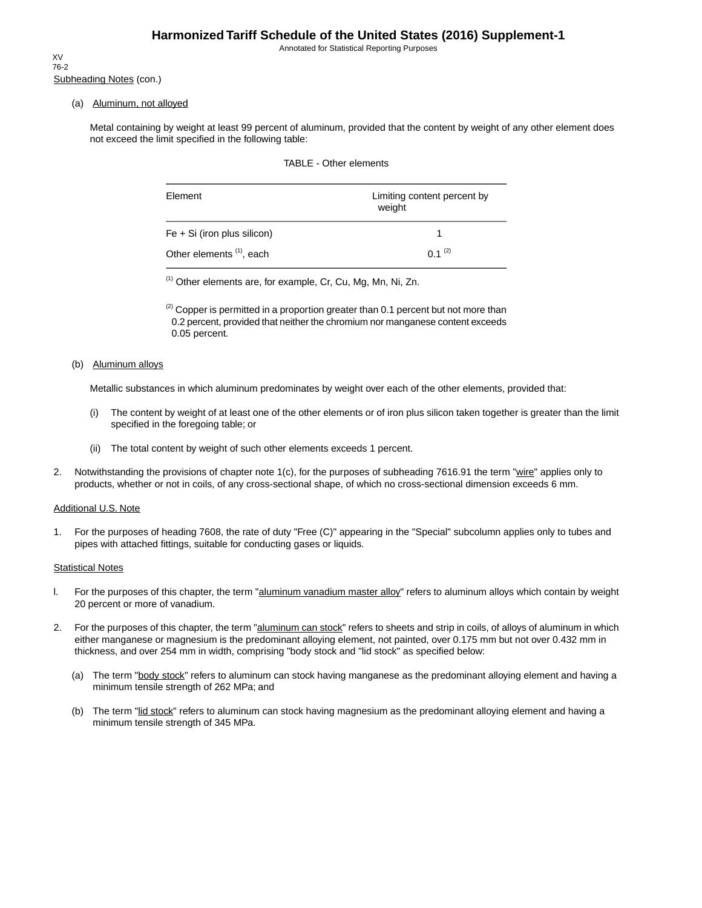Annotated for Statistical Reporting Purposes

Subheading Notes (con.) XV 76-2

(a) Aluminum, not alloyed

Metal containing by weight at least 99 percent of aluminum, provided that the content by weight of any other element does not exceed the limit specified in the following table:

|  | TABLE - Other elements |  |
|--|------------------------|--|
|--|------------------------|--|

| Element                              | Limiting content percent by<br>weight |
|--------------------------------------|---------------------------------------|
| $Fe + Si$ (iron plus silicon)        |                                       |
| Other elements <sup>(1)</sup> , each | $0.1^{(2)}$                           |

(1) Other elements are, for example, Cr, Cu, Mg, Mn, Ni, Zn.

 $^{(2)}$  Copper is permitted in a proportion greater than 0.1 percent but not more than 0.2 percent, provided that neither the chromium nor manganese content exceeds 0.05 percent.

#### (b) Aluminum alloys

Metallic substances in which aluminum predominates by weight over each of the other elements, provided that:

- (i) The content by weight of at least one of the other elements or of iron plus silicon taken together is greater than the limit specified in the foregoing table; or
- (ii) The total content by weight of such other elements exceeds 1 percent.
- 2. Notwithstanding the provisions of chapter note 1(c), for the purposes of subheading 7616.91 the term "wire" applies only to products, whether or not in coils, of any cross-sectional shape, of which no cross-sectional dimension exceeds 6 mm.

### Additional U.S. Note

1. For the purposes of heading 7608, the rate of duty "Free (C)" appearing in the "Special" subcolumn applies only to tubes and pipes with attached fittings, suitable for conducting gases or liquids.

### **Statistical Notes**

- l. For the purposes of this chapter, the term "aluminum vanadium master alloy" refers to aluminum alloys which contain by weight 20 percent or more of vanadium.
- 2. For the purposes of this chapter, the term "aluminum can stock" refers to sheets and strip in coils, of alloys of aluminum in which either manganese or magnesium is the predominant alloying element, not painted, over 0.175 mm but not over 0.432 mm in thickness, and over 254 mm in width, comprising "body stock and "lid stock" as specified below:
	- (a) The term "body stock" refers to aluminum can stock having manganese as the predominant alloying element and having a minimum tensile strength of 262 MPa; and
	- (b) The term "lid stock" refers to aluminum can stock having magnesium as the predominant alloying element and having a minimum tensile strength of 345 MPa.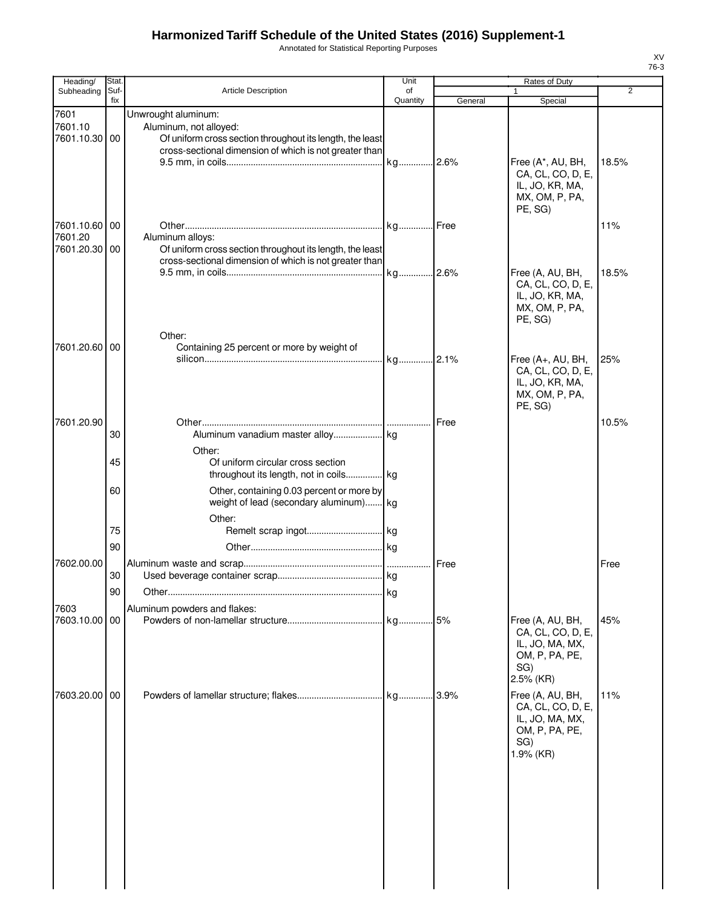Annotated for Statistical Reporting Purposes

| Heading/                         | Stat.       |                                                                                                                                                                      | Unit           |         | Rates of Duty                                                                                  |                |
|----------------------------------|-------------|----------------------------------------------------------------------------------------------------------------------------------------------------------------------|----------------|---------|------------------------------------------------------------------------------------------------|----------------|
| Subheading                       | Suf-<br>fix | <b>Article Description</b>                                                                                                                                           | of<br>Quantity | General | 1<br>Special                                                                                   | $\overline{2}$ |
|                                  |             |                                                                                                                                                                      |                |         |                                                                                                |                |
| 7601<br>7601.10<br>7601.10.30 00 |             | Unwrought aluminum:<br>Aluminum, not alloyed:<br>Of uniform cross section throughout its length, the least<br>cross-sectional dimension of which is not greater than |                |         | Free (A*, AU, BH,<br>CA, CL, CO, D, E,<br>IL, JO, KR, MA,<br>MX, OM, P, PA,<br>PE, SG)         | 18.5%          |
| 7601.10.60 00                    |             |                                                                                                                                                                      |                |         |                                                                                                | 11%            |
| 7601.20<br>7601.20.30 00         |             | Aluminum alloys:<br>Of uniform cross section throughout its length, the least<br>cross-sectional dimension of which is not greater than                              |                |         |                                                                                                |                |
|                                  |             | Other:                                                                                                                                                               | kg 2.6%        |         | Free (A, AU, BH,<br>CA, CL, CO, D, E,<br>IL, JO, KR, MA,<br>MX, OM, P, PA,<br>PE, SG)          | 18.5%          |
| 7601.20.60 00                    |             | Containing 25 percent or more by weight of                                                                                                                           |                |         |                                                                                                |                |
|                                  |             |                                                                                                                                                                      |                |         | Free (A+, AU, BH,<br>CA, CL, CO, D, E,<br>IL, JO, KR, MA,<br>MX, OM, P, PA,<br>PE, SG)         | 25%            |
| 7601.20.90                       |             |                                                                                                                                                                      |                | Free    |                                                                                                | 10.5%          |
|                                  | 30          |                                                                                                                                                                      |                |         |                                                                                                |                |
|                                  |             | Other:                                                                                                                                                               |                |         |                                                                                                |                |
|                                  | 45          | Of uniform circular cross section<br>throughout its length, not in coils kg                                                                                          |                |         |                                                                                                |                |
|                                  | 60          | Other, containing 0.03 percent or more by                                                                                                                            |                |         |                                                                                                |                |
|                                  |             | weight of lead (secondary aluminum) kg                                                                                                                               |                |         |                                                                                                |                |
|                                  |             | Other:                                                                                                                                                               |                |         |                                                                                                |                |
|                                  | 75          |                                                                                                                                                                      |                |         |                                                                                                |                |
|                                  | 90          |                                                                                                                                                                      |                |         |                                                                                                |                |
| 7602.00.00                       |             |                                                                                                                                                                      |                | Free    |                                                                                                | Free           |
|                                  | 30          |                                                                                                                                                                      |                |         |                                                                                                |                |
|                                  |             |                                                                                                                                                                      |                |         |                                                                                                |                |
|                                  | 90          | Other………………………………………………………………………                                                                                                                                     | . I kg         |         |                                                                                                |                |
| 7603                             |             | Aluminum powders and flakes:                                                                                                                                         |                |         |                                                                                                |                |
| 7603.10.00 00                    |             |                                                                                                                                                                      |                |         | Free (A, AU, BH,<br>CA, CL, CO, D, E,<br>IL, JO, MA, MX,<br>OM, P, PA, PE,<br>SG)<br>2.5% (KR) | 45%            |
| 7603.20.00 00                    |             |                                                                                                                                                                      |                |         | Free (A, AU, BH,<br>CA, CL, CO, D, E,<br>IL, JO, MA, MX,<br>OM, P, PA, PE,<br>SG)<br>1.9% (KR) | 11%            |
|                                  |             |                                                                                                                                                                      |                |         |                                                                                                |                |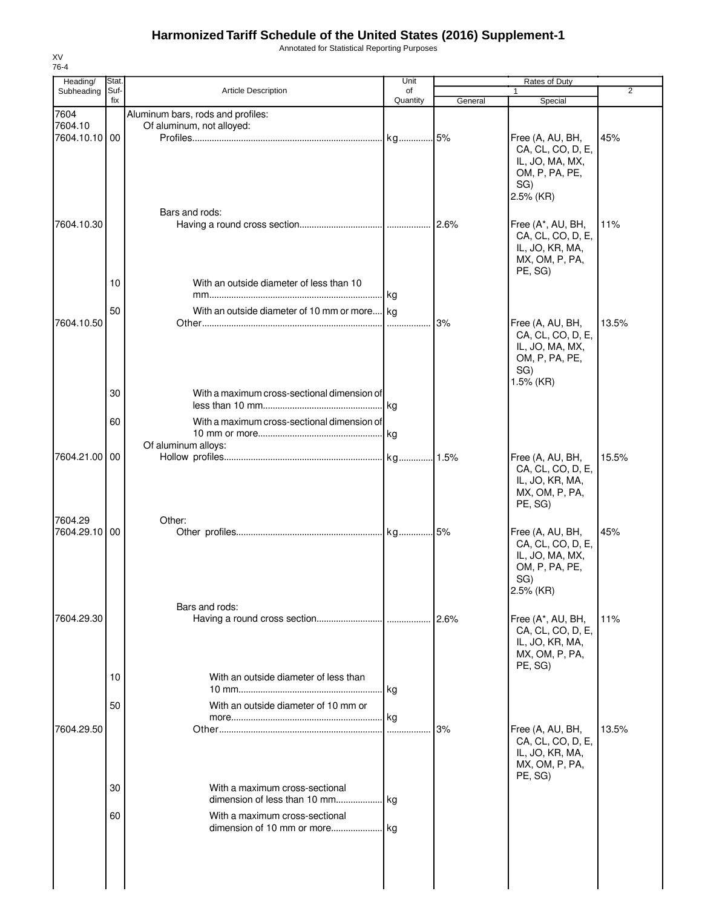Annotated for Statistical Reporting Purposes

| Heading/                 | Stat.       |                                                                | Unit           |         | Rates of Duty                                                                                  |       |
|--------------------------|-------------|----------------------------------------------------------------|----------------|---------|------------------------------------------------------------------------------------------------|-------|
| Subheading               | Suf-<br>fix | <b>Article Description</b>                                     | of<br>Quantity | General | 1<br>Special                                                                                   | 2     |
| 7604                     |             | Aluminum bars, rods and profiles:                              |                |         |                                                                                                |       |
| 7604.10                  |             | Of aluminum, not alloyed:                                      |                |         |                                                                                                |       |
| 7604.10.10 00            |             | Bars and rods:                                                 |                |         | Free (A, AU, BH,<br>CA, CL, CO, D, E,<br>IL, JO, MA, MX,<br>OM, P, PA, PE,<br>SG)<br>2.5% (KR) | 45%   |
| 7604.10.30               |             |                                                                |                | .12.6%  | Free (A*, AU, BH,<br>CA, CL, CO, D, E,<br>IL, JO, KR, MA,<br>MX, OM, P, PA,<br>PE, SG)         | 11%   |
|                          | 10          | With an outside diameter of less than 10                       |                |         |                                                                                                |       |
|                          | 50          | With an outside diameter of 10 mm or more kg                   |                |         |                                                                                                |       |
| 7604.10.50               |             |                                                                |                | 3%      | Free (A, AU, BH,<br>CA, CL, CO, D, E,<br>IL, JO, MA, MX,<br>OM, P, PA, PE,<br>SG)<br>1.5% (KR) | 13.5% |
|                          | 30          | With a maximum cross-sectional dimension of                    | .Ikg           |         |                                                                                                |       |
|                          | 60          | With a maximum cross-sectional dimension of                    |                |         |                                                                                                |       |
|                          |             |                                                                |                |         |                                                                                                |       |
| 7604.21.00 00            |             | Of aluminum alloys:                                            |                |         |                                                                                                | 15.5% |
|                          |             |                                                                |                |         | Free (A, AU, BH,<br>CA, CL, CO, D, E,<br>IL, JO, KR, MA,<br>MX, OM, P, PA,<br>PE, SG)          |       |
| 7604.29<br>7604.29.10 00 |             | Other:                                                         |                |         | Free (A, AU, BH,<br>CA, CL, CO, D, E,<br>IL, JO, MA, MX,<br>OM, P, PA, PE,<br>SG)<br>2.5% (KR) | 45%   |
|                          |             | Bars and rods:                                                 |                |         |                                                                                                |       |
| 7604.29.30               |             |                                                                |                |         | Free (A*, AU, BH,<br>CA, CL, CO, D, E,<br>IL, JO, KR, MA,<br>MX, OM, P, PA,<br>PE, SG)         | 11%   |
|                          | 10          | With an outside diameter of less than                          | kg             |         |                                                                                                |       |
|                          | 50          | With an outside diameter of 10 mm or                           | kg             |         |                                                                                                |       |
| 7604.29.50               |             |                                                                |                | 3%      | Free (A, AU, BH,<br>CA, CL, CO, D, E,<br>IL, JO, KR, MA,<br>MX, OM, P, PA,<br>PE, SG)          | 13.5% |
|                          | 30          | With a maximum cross-sectional<br>dimension of less than 10 mm | <b>kg</b>      |         |                                                                                                |       |
|                          | 60          | With a maximum cross-sectional                                 |                |         |                                                                                                |       |
|                          |             |                                                                |                |         |                                                                                                |       |
|                          |             |                                                                |                |         |                                                                                                |       |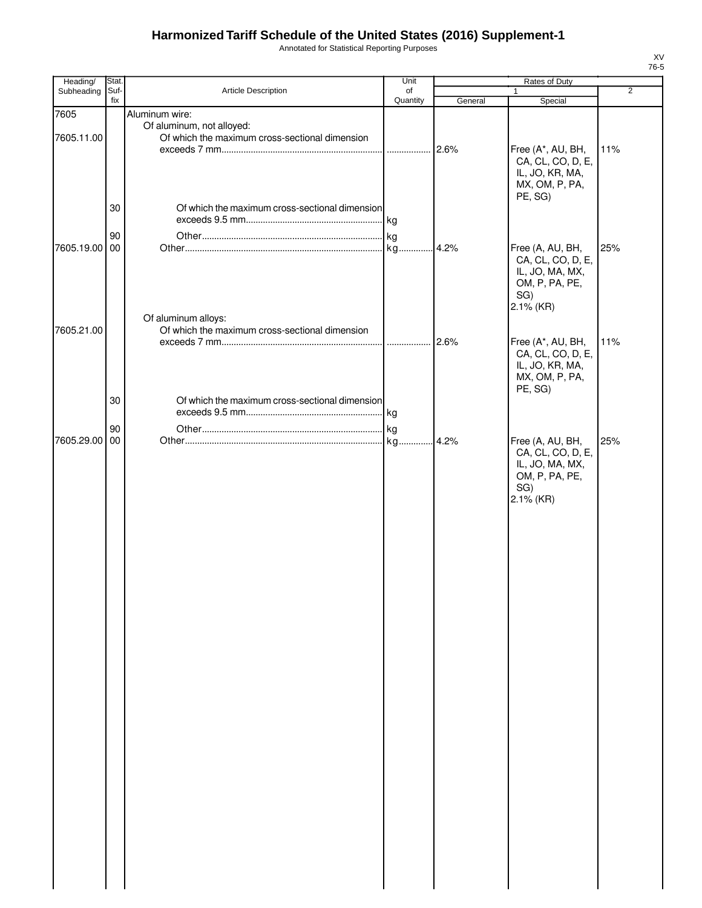Annotated for Statistical Reporting Purposes

| Heading/           | Stat.       |                                                                                               | Unit           |         | Rates of Duty                                                                                  |                |
|--------------------|-------------|-----------------------------------------------------------------------------------------------|----------------|---------|------------------------------------------------------------------------------------------------|----------------|
| Subheading         | Suf-<br>fix | Article Description                                                                           | of<br>Quantity | General | 1<br>Special                                                                                   | $\overline{2}$ |
| 7605<br>7605.11.00 |             | Aluminum wire:<br>Of aluminum, not alloyed:<br>Of which the maximum cross-sectional dimension |                | 2.6%    | Free (A*, AU, BH,<br>CA, CL, CO, D, E,<br>IL, JO, KR, MA,                                      | 11%            |
|                    | 30<br>90    | Of which the maximum cross-sectional dimension                                                |                |         | MX, OM, P, PA,<br>PE, SG)                                                                      |                |
| 7605.19.00 00      |             | Of aluminum alloys:                                                                           |                | .4.2%   | Free (A, AU, BH,<br>CA, CL, CO, D, E,<br>IL, JO, MA, MX,<br>OM, P, PA, PE,<br>SG)<br>2.1% (KR) | 25%            |
| 7605.21.00         |             | Of which the maximum cross-sectional dimension                                                |                | 2.6%    | Free (A*, AU, BH,<br>CA, CL, CO, D, E,<br>IL, JO, KR, MA,<br>MX, OM, P, PA,<br>PE, SG)         | 11%            |
|                    | 30<br>90    | Of which the maximum cross-sectional dimension                                                |                |         |                                                                                                |                |
| 7605.29.00 00      |             |                                                                                               |                | .4.2%   | Free (A, AU, BH,<br>CA, CL, CO, D, E,<br>IL, JO, MA, MX,<br>OM, P, PA, PE,<br>SG)<br>2.1% (KR) | 25%            |
|                    |             |                                                                                               |                |         |                                                                                                |                |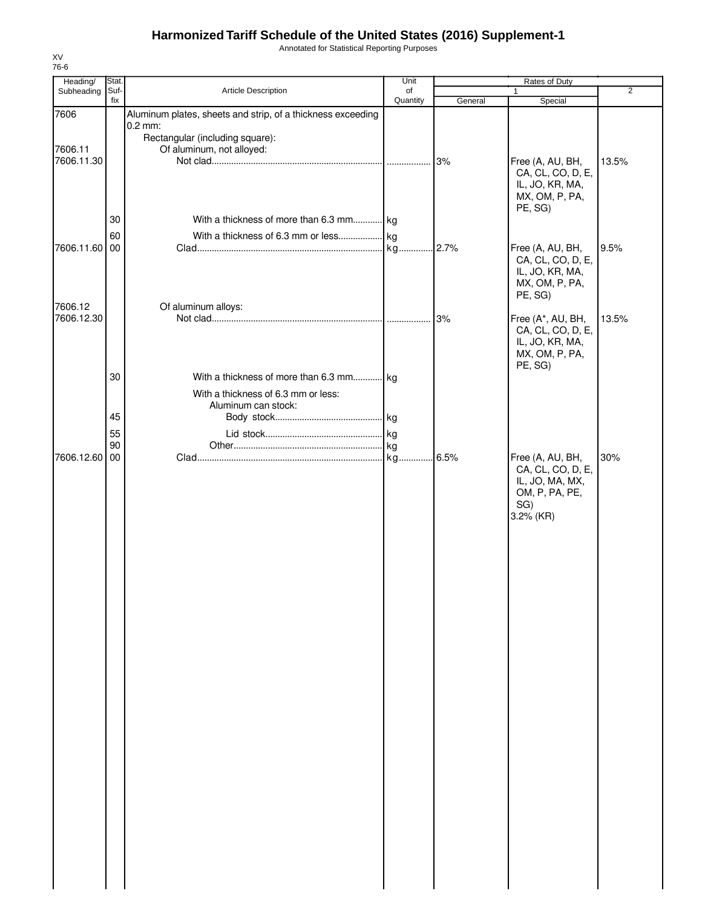Annotated for Statistical Reporting Purposes

| Heading/              | Stat.       |                                                                                | Unit           |         | Rates of Duty                                                                                  |                |
|-----------------------|-------------|--------------------------------------------------------------------------------|----------------|---------|------------------------------------------------------------------------------------------------|----------------|
| Subheading            | Suf-<br>fix | Article Description                                                            | of<br>Quantity | General | 1<br>Special                                                                                   | $\overline{2}$ |
| 7606                  |             | Aluminum plates, sheets and strip, of a thickness exceeding<br>$0.2$ mm:       |                |         |                                                                                                |                |
| 7606.11<br>7606.11.30 |             | Rectangular (including square):<br>Of aluminum, not alloyed:                   |                | 3%      | Free (A, AU, BH,                                                                               | 13.5%          |
|                       |             |                                                                                |                |         | CA, CL, CO, D, E,<br>IL, JO, KR, MA,<br>MX, OM, P, PA,<br>PE, SG)                              |                |
|                       | 30          | With a thickness of more than 6.3 mm kg                                        |                |         |                                                                                                |                |
| 7606.11.60 00         | 60          |                                                                                |                |         | Free (A, AU, BH,<br>CA, CL, CO, D, E,<br>IL, JO, KR, MA,<br>MX, OM, P, PA,<br>PE, SG)          | 9.5%           |
| 7606.12               |             | Of aluminum alloys:                                                            |                |         |                                                                                                |                |
| 7606.12.30            |             |                                                                                |                | 3%      | Free (A*, AU, BH,<br>CA, CL, CO, D, E,<br>IL, JO, KR, MA,<br>MX, OM, P, PA,<br>PE, SG)         | 13.5%          |
|                       | 30          | With a thickness of more than 6.3 mm kg<br>With a thickness of 6.3 mm or less: |                |         |                                                                                                |                |
|                       | 45          | Aluminum can stock:                                                            |                |         |                                                                                                |                |
|                       | 55          |                                                                                |                |         |                                                                                                |                |
|                       | 90          |                                                                                |                |         |                                                                                                |                |
| 7606.12.60            | 00          |                                                                                |                |         | Free (A, AU, BH,<br>CA, CL, CO, D, E,<br>IL, JO, MA, MX,<br>OM, P, PA, PE,<br>SG)<br>3.2% (KR) | 30%            |
|                       |             |                                                                                |                |         |                                                                                                |                |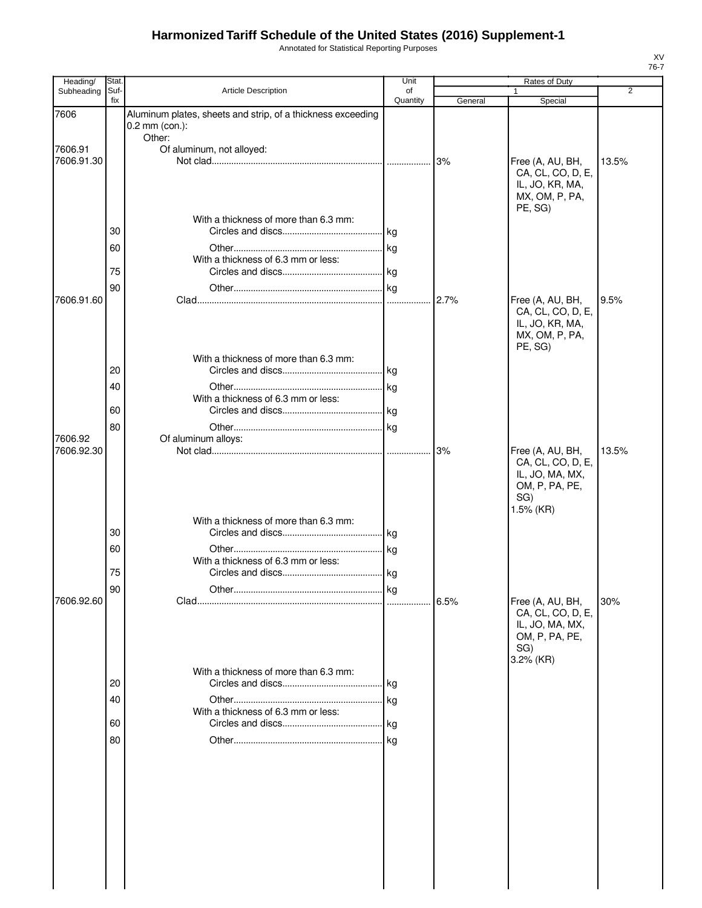Annotated for Statistical Reporting Purposes

| Heading/              | Stat.                |                                                                                                     | Unit               |         | Rates of Duty                                                                                  |       |
|-----------------------|----------------------|-----------------------------------------------------------------------------------------------------|--------------------|---------|------------------------------------------------------------------------------------------------|-------|
| Subheading            | Suf-<br>fix          | <b>Article Description</b>                                                                          | of<br>Quantity     | General | Special                                                                                        | 2     |
| 7606                  |                      | Aluminum plates, sheets and strip, of a thickness exceeding<br>$0.2$ mm (con.):                     |                    |         |                                                                                                |       |
| 7606.91<br>7606.91.30 |                      | Other:<br>Of aluminum, not alloyed:                                                                 |                    | 3%      | Free (A, AU, BH,<br>CA, CL, CO, D, E,<br>IL, JO, KR, MA,<br>MX, OM, P, PA,                     | 13.5% |
| 7606.91.60            | 30<br>60<br>75<br>90 | With a thickness of more than 6.3 mm:<br>With a thickness of 6.3 mm or less:                        | kg<br>1.1.1.1.1    | 2.7%    | PE, SG)<br>Free (A, AU, BH,<br>CA, CL, CO, D, E,<br>IL, JO, KR, MA,<br>MX, OM, P, PA,          | 9.5%  |
| 7606.92<br>7606.92.30 | 20<br>40<br>60<br>80 | With a thickness of more than 6.3 mm:<br>With a thickness of 6.3 mm or less:<br>Of aluminum alloys: | l kg<br>. kg<br>kg | 3%      | PE, SG)<br>Free (A, AU, BH,                                                                    | 13.5% |
| 7606.92.60            | 30<br>60<br>75<br>90 | With a thickness of more than 6.3 mm:<br>With a thickness of 6.3 mm or less:                        |                    | 6.5%    | CA, CL, CO, D, E,<br>IL, JO, MA, MX,<br>OM, P, PA, PE,<br>SG)<br>1.5% (KR)<br>Free (A, AU, BH, | 30%   |
|                       | 20<br>40<br>60<br>80 | With a thickness of more than 6.3 mm:<br>With a thickness of 6.3 mm or less:                        | kg<br>  kg         |         | CA, CL, CO, D, E,<br>IL, JO, MA, MX,<br>OM, P, PA, PE,<br>SG)<br>3.2% (KR)                     |       |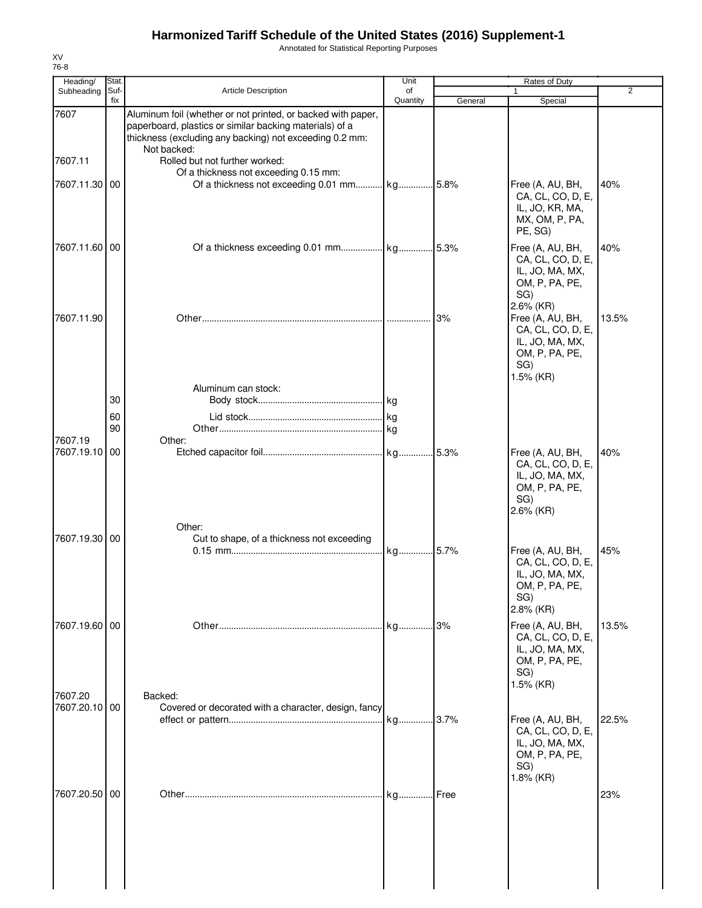Annotated for Statistical Reporting Purposes

| Heading/                 | <b>Stat</b> |                                                                                                                                                                                                                                     | Unit           |         | Rates of Duty                                                                                               |                |
|--------------------------|-------------|-------------------------------------------------------------------------------------------------------------------------------------------------------------------------------------------------------------------------------------|----------------|---------|-------------------------------------------------------------------------------------------------------------|----------------|
| Subheading               | Suf-<br>fix | <b>Article Description</b>                                                                                                                                                                                                          | of<br>Quantity | General | Special                                                                                                     | $\overline{2}$ |
| 7607<br>7607.11          |             | Aluminum foil (whether or not printed, or backed with paper,<br>paperboard, plastics or similar backing materials) of a<br>thickness (excluding any backing) not exceeding 0.2 mm:<br>Not backed:<br>Rolled but not further worked: |                |         |                                                                                                             |                |
| 7607.11.30 00            |             | Of a thickness not exceeding 0.15 mm:                                                                                                                                                                                               |                |         | Free (A, AU, BH,<br>CA, CL, CO, D, E,<br>IL, JO, KR, MA,<br>MX, OM, P, PA,<br>PE, SG)                       | 40%            |
| 7607.11.60 00            |             |                                                                                                                                                                                                                                     |                |         | Free (A, AU, BH,<br>CA, CL, CO, D, E,<br>IL, JO, MA, MX,<br>OM, P, PA, PE,<br>SG)                           | 40%            |
| 7607.11.90               |             |                                                                                                                                                                                                                                     |                | 3%      | 2.6% (KR)<br>Free (A, AU, BH,<br>CA, CL, CO, D, E,<br>IL, JO, MA, MX,<br>OM, P, PA, PE,<br>SG)<br>1.5% (KR) | 13.5%          |
|                          | 30<br>60    | Aluminum can stock:                                                                                                                                                                                                                 |                |         |                                                                                                             |                |
| 7607.19                  | 90          | Other:                                                                                                                                                                                                                              |                |         |                                                                                                             |                |
| 7607.19.10               | 00          |                                                                                                                                                                                                                                     |                |         | Free (A, AU, BH,<br>CA, CL, CO, D, E,<br>IL, JO, MA, MX,<br>OM, P, PA, PE,<br>SG)<br>2.6% (KR)              | 40%            |
| 7607.19.30 00            |             | Other:<br>Cut to shape, of a thickness not exceeding                                                                                                                                                                                | kg 5.7%        |         | Free (A, AU, BH,<br>CA, CL, CO, D, E,<br>IL, JO, MA, MX,<br>OM, P, PA, PE,<br>SG)                           | 45%            |
| 7607.19.60 00            |             |                                                                                                                                                                                                                                     |                | 3%      | 2.8% (KR)<br>Free (A, AU, BH,<br>CA, CL, CO, D, E,<br>IL, JO, MA, MX,<br>OM, P, PA, PE,<br>SG)<br>1.5% (KR) | 13.5%          |
| 7607.20<br>7607.20.10 00 |             | Backed:<br>Covered or decorated with a character, design, fancy                                                                                                                                                                     |                |         | Free (A, AU, BH,<br>CA, CL, CO, D, E,<br>IL, JO, MA, MX,<br>OM, P, PA, PE,<br>SG)<br>1.8% (KR)              | 22.5%          |
| 7607.20.50 00            |             |                                                                                                                                                                                                                                     | kg             | Free    |                                                                                                             | 23%            |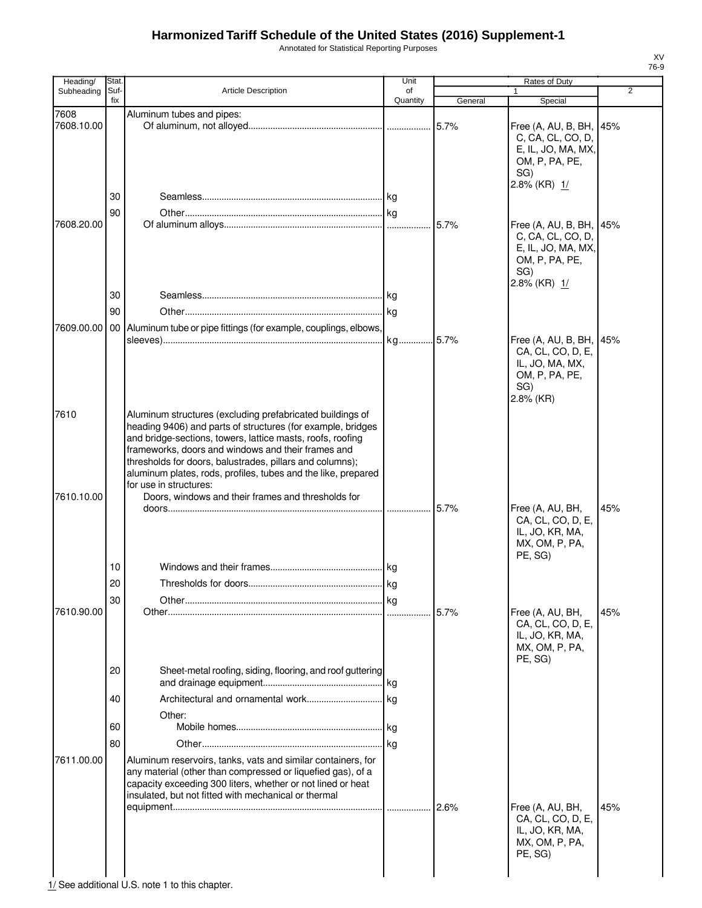Annotated for Statistical Reporting Purposes

| Heading/           | Stat.       |                                                                                                                                                                                                                                                                                                                                                                                                     | Unit           |         | Rates of Duty                                                                                               |                |
|--------------------|-------------|-----------------------------------------------------------------------------------------------------------------------------------------------------------------------------------------------------------------------------------------------------------------------------------------------------------------------------------------------------------------------------------------------------|----------------|---------|-------------------------------------------------------------------------------------------------------------|----------------|
| Subheading         | Suf-<br>fix | <b>Article Description</b>                                                                                                                                                                                                                                                                                                                                                                          | of<br>Quantity |         | $\mathbf{1}$                                                                                                | $\overline{2}$ |
|                    |             |                                                                                                                                                                                                                                                                                                                                                                                                     |                | General | Special                                                                                                     |                |
| 7608<br>7608.10.00 |             | Aluminum tubes and pipes:                                                                                                                                                                                                                                                                                                                                                                           |                | 5.7%    | Free (A, AU, B, BH, 145%<br>C, CA, CL, CO, D,                                                               |                |
|                    | 30          |                                                                                                                                                                                                                                                                                                                                                                                                     |                |         | E, IL, JO, MA, MX,<br>OM, P, PA, PE,<br>SG)<br>2.8% (KR) 1/                                                 |                |
|                    | 90          |                                                                                                                                                                                                                                                                                                                                                                                                     |                |         |                                                                                                             |                |
| 7608.20.00         |             |                                                                                                                                                                                                                                                                                                                                                                                                     |                |         | Free (A, AU, B, BH, 45%<br>C, CA, CL, CO, D,<br>E, IL, JO, MA, MX,<br>OM, P, PA, PE,<br>SG)<br>2.8% (KR) 1/ |                |
|                    | 30          |                                                                                                                                                                                                                                                                                                                                                                                                     |                |         |                                                                                                             |                |
|                    | 90          |                                                                                                                                                                                                                                                                                                                                                                                                     |                |         |                                                                                                             |                |
| 7609.00.00         |             | 00 Aluminum tube or pipe fittings (for example, couplings, elbows,                                                                                                                                                                                                                                                                                                                                  |                |         |                                                                                                             |                |
|                    |             |                                                                                                                                                                                                                                                                                                                                                                                                     |                |         | Free (A, AU, B, BH,<br>CA, CL, CO, D, E,<br>IL, JO, MA, MX,<br>OM, P, PA, PE,<br>SG)<br>2.8% (KR)           | 45%            |
| 7610               |             | Aluminum structures (excluding prefabricated buildings of<br>heading 9406) and parts of structures (for example, bridges<br>and bridge-sections, towers, lattice masts, roofs, roofing<br>frameworks, doors and windows and their frames and<br>thresholds for doors, balustrades, pillars and columns);<br>aluminum plates, rods, profiles, tubes and the like, prepared<br>for use in structures: |                |         |                                                                                                             |                |
| 7610.10.00         |             | Doors, windows and their frames and thresholds for                                                                                                                                                                                                                                                                                                                                                  |                |         |                                                                                                             |                |
|                    |             |                                                                                                                                                                                                                                                                                                                                                                                                     |                |         | Free (A, AU, BH,<br>CA, CL, CO, D, E,<br>IL, JO, KR, MA,<br>MX, OM, P, PA,<br>PE, SG)                       | 45%            |
|                    | 10          |                                                                                                                                                                                                                                                                                                                                                                                                     |                |         |                                                                                                             |                |
|                    | 20          |                                                                                                                                                                                                                                                                                                                                                                                                     |                |         |                                                                                                             |                |
|                    | 30          |                                                                                                                                                                                                                                                                                                                                                                                                     | kg             |         |                                                                                                             |                |
| 7610.90.00         |             |                                                                                                                                                                                                                                                                                                                                                                                                     |                |         | Free (A, AU, BH,<br>CA, CL, CO, D, E,<br>IL, JO, KR, MA,<br>MX, OM, P, PA,<br>PE, SG)                       | 45%            |
|                    | 20          | Sheet-metal roofing, siding, flooring, and roof guttering                                                                                                                                                                                                                                                                                                                                           |                |         |                                                                                                             |                |
|                    | 40          |                                                                                                                                                                                                                                                                                                                                                                                                     |                |         |                                                                                                             |                |
|                    | 60          | Other:                                                                                                                                                                                                                                                                                                                                                                                              | ka             |         |                                                                                                             |                |
|                    | 80          |                                                                                                                                                                                                                                                                                                                                                                                                     |                |         |                                                                                                             |                |
| 7611.00.00         |             | Aluminum reservoirs, tanks, vats and similar containers, for<br>any material (other than compressed or liquefied gas), of a<br>capacity exceeding 300 liters, whether or not lined or heat<br>insulated, but not fitted with mechanical or thermal                                                                                                                                                  |                | 2.6%    | Free (A, AU, BH,                                                                                            | 45%            |
|                    |             |                                                                                                                                                                                                                                                                                                                                                                                                     |                |         | CA, CL, CO, D, E,<br>IL, JO, KR, MA,<br>MX, OM, P, PA,<br>PE, SG)                                           |                |

1/ See additional U.S. note 1 to this chapter.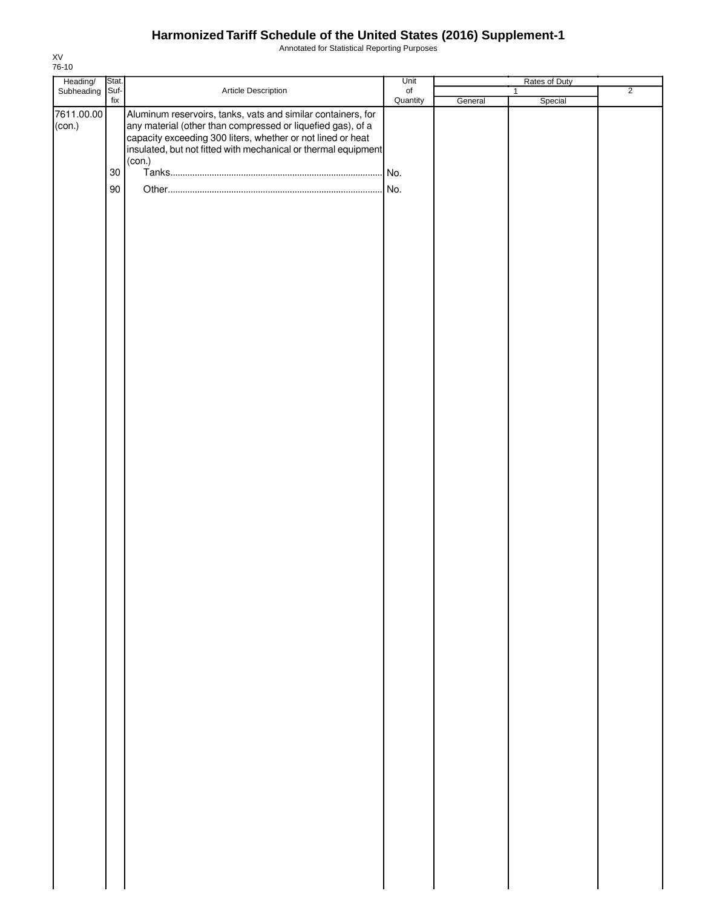Annotated for Statistical Reporting Purposes

| Heading/ Stat.<br>Subheading Suf- |        |                                                                                                                                                                                                                                                                        | Unit      |         | Rates of Duty |                |
|-----------------------------------|--------|------------------------------------------------------------------------------------------------------------------------------------------------------------------------------------------------------------------------------------------------------------------------|-----------|---------|---------------|----------------|
|                                   |        | Article Description                                                                                                                                                                                                                                                    | $\circ$ f |         | $\mathbf{1}$  | $\overline{2}$ |
| 7611.00.00<br>(con.)              | fix    | Aluminum reservoirs, tanks, vats and similar containers, for<br>any material (other than compressed or liquefied gas), of a<br>capacity exceeding 300 liters, whether or not lined or heat<br>insulated, but not fitted with mechanical or thermal equipment<br>(con.) | Quantity  | General | Special       |                |
|                                   | $30\,$ |                                                                                                                                                                                                                                                                        | No.       |         |               |                |
|                                   |        |                                                                                                                                                                                                                                                                        |           |         |               |                |
|                                   |        |                                                                                                                                                                                                                                                                        |           |         |               |                |
|                                   | 90     |                                                                                                                                                                                                                                                                        |           |         |               |                |
|                                   |        |                                                                                                                                                                                                                                                                        |           |         |               |                |
|                                   |        |                                                                                                                                                                                                                                                                        |           |         |               |                |
|                                   |        |                                                                                                                                                                                                                                                                        |           |         |               |                |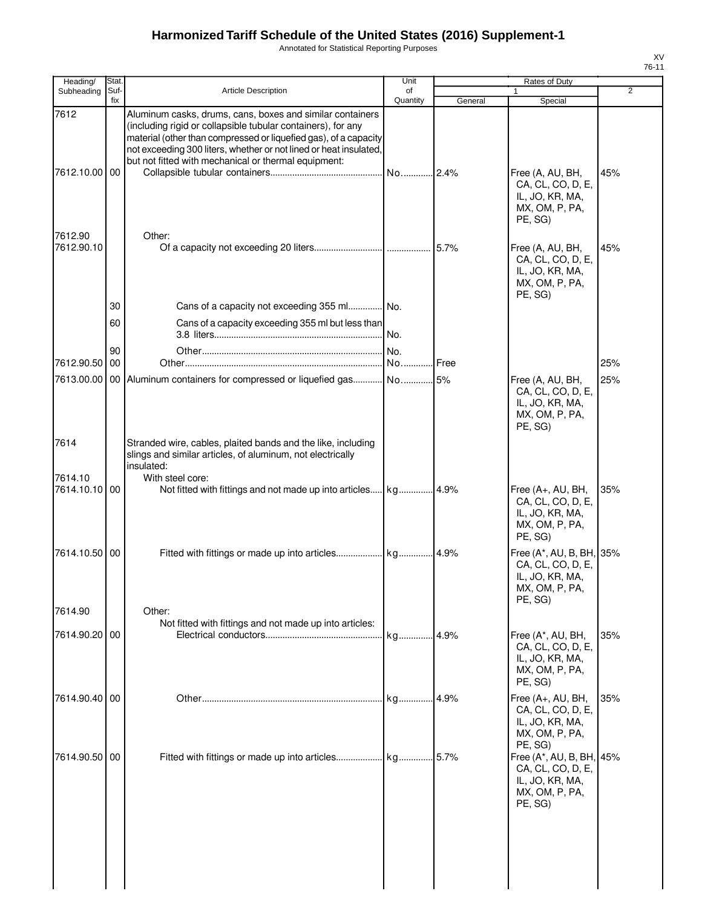Annotated for Statistical Reporting Purposes

| Heading/                 | Stat.       |                                                                                                                                                                                                                                                                                                                            | Unit           |               | Rates of Duty                                                                                 |                |
|--------------------------|-------------|----------------------------------------------------------------------------------------------------------------------------------------------------------------------------------------------------------------------------------------------------------------------------------------------------------------------------|----------------|---------------|-----------------------------------------------------------------------------------------------|----------------|
| Subheading               | Suf-<br>fix | <b>Article Description</b>                                                                                                                                                                                                                                                                                                 | of<br>Quantity | General       | Special                                                                                       | $\overline{2}$ |
| 7612<br>7612.10.00 00    |             | Aluminum casks, drums, cans, boxes and similar containers<br>(including rigid or collapsible tubular containers), for any<br>material (other than compressed or liquefied gas), of a capacity<br>not exceeding 300 liters, whether or not lined or heat insulated,<br>but not fitted with mechanical or thermal equipment: | No2.4%         |               | Free (A, AU, BH,<br>CA, CL, CO, D, E,<br>IL, JO, KR, MA,<br>MX, OM, P, PA,<br>PE, SG)         | 45%            |
| 7612.90<br>7612.90.10    |             | Other:                                                                                                                                                                                                                                                                                                                     |                | 5.7%          | Free (A, AU, BH,<br>CA, CL, CO, D, E,<br>IL, JO, KR, MA,<br>MX, OM, P, PA,<br>PE, SG)         | 45%            |
|                          | 30          | Cans of a capacity not exceeding 355 ml No.                                                                                                                                                                                                                                                                                |                |               |                                                                                               |                |
|                          | 60          | Cans of a capacity exceeding 355 ml but less than                                                                                                                                                                                                                                                                          | No.            |               |                                                                                               |                |
| 7612.90.50               | 90<br>00    |                                                                                                                                                                                                                                                                                                                            | No.<br>No      | <b>I</b> Free |                                                                                               | 25%            |
| 7613.00.00               |             | 00 Aluminum containers for compressed or liquefied gas                                                                                                                                                                                                                                                                     | No 5%          |               | Free (A, AU, BH,<br>CA, CL, CO, D, E,<br>IL, JO, KR, MA,<br>MX, OM, P, PA,<br>PE, SG)         | 25%            |
| 7614                     |             | Stranded wire, cables, plaited bands and the like, including<br>slings and similar articles, of aluminum, not electrically<br>insulated:                                                                                                                                                                                   |                |               |                                                                                               |                |
| 7614.10<br>7614.10.10 00 |             | With steel core:                                                                                                                                                                                                                                                                                                           |                |               | Free (A+, AU, BH,<br>CA, CL, CO, D, E,<br>IL, JO, KR, MA,<br>MX, OM, P, PA,<br>PE, SG)        | 35%            |
| 7614.10.50 00            |             | Fitted with fittings or made up into articles kg                                                                                                                                                                                                                                                                           |                | .4.9%         | Free (A*, AU, B, BH, 35%<br>CA, CL, CO, D, E,<br>IL, JO, KR, MA,<br>MX, OM, P, PA,<br>PE, SG) |                |
| 7614.90                  |             | Other:<br>Not fitted with fittings and not made up into articles:                                                                                                                                                                                                                                                          |                |               |                                                                                               |                |
| 7614.90.20 00            |             |                                                                                                                                                                                                                                                                                                                            | kg             | .4.9%         | Free (A*, AU, BH,<br>CA, CL, CO, D, E,<br>IL, JO, KR, MA,<br>MX, OM, P, PA,<br>PE, SG)        | 35%            |
| 7614.90.40 00            |             |                                                                                                                                                                                                                                                                                                                            | kg             | 4.9%          | Free (A+, AU, BH,<br>CA, CL, CO, D, E,<br>IL, JO, KR, MA,<br>MX, OM, P, PA,<br>PE, SG)        | 35%            |
| 7614.90.50 00            |             | Fitted with fittings or made up into articles kg                                                                                                                                                                                                                                                                           |                | 5.7%          | Free (A*, AU, B, BH, 45%<br>CA, CL, CO, D, E,<br>IL, JO, KR, MA,<br>MX, OM, P, PA,<br>PE, SG) |                |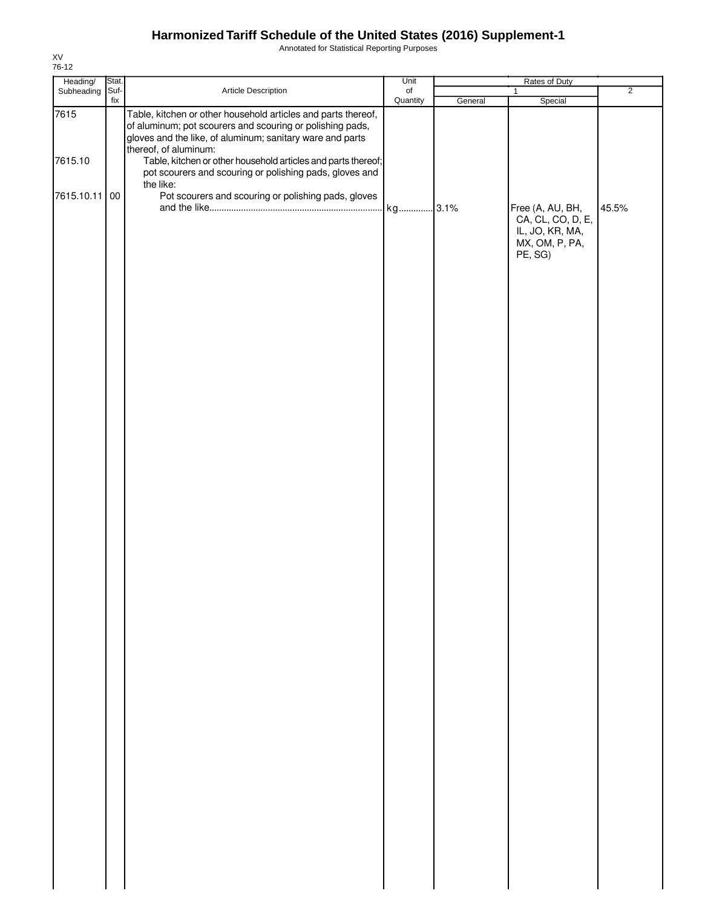Annotated for Statistical Reporting Purposes

| Heading/        | Stat. |                                                                                                                                                                                                                                                                                                                                              | Unit                         |         | Rates of Duty                                                                         |                |
|-----------------|-------|----------------------------------------------------------------------------------------------------------------------------------------------------------------------------------------------------------------------------------------------------------------------------------------------------------------------------------------------|------------------------------|---------|---------------------------------------------------------------------------------------|----------------|
| Subheading Suf- | fix   | Article Description                                                                                                                                                                                                                                                                                                                          | $_{\mathsf{of}}$<br>Quantity | General | $\mathbf{1}$<br>Special                                                               | $\overline{2}$ |
| 7615<br>7615.10 |       | Table, kitchen or other household articles and parts thereof,<br>of aluminum; pot scourers and scouring or polishing pads,<br>gloves and the like, of aluminum; sanitary ware and parts<br>thereof, of aluminum:<br>Table, kitchen or other household articles and parts thereof;<br>pot scourers and scouring or polishing pads, gloves and |                              |         |                                                                                       |                |
| 7615.10.11 00   |       | the like:<br>Pot scourers and scouring or polishing pads, gloves                                                                                                                                                                                                                                                                             |                              |         | Free (A, AU, BH,<br>CA, CL, CO, D, E,<br>IL, JO, KR, MA,<br>MX, OM, P, PA,<br>PE, SG) | 45.5%          |
|                 |       |                                                                                                                                                                                                                                                                                                                                              |                              |         |                                                                                       |                |
|                 |       |                                                                                                                                                                                                                                                                                                                                              |                              |         |                                                                                       |                |
|                 |       |                                                                                                                                                                                                                                                                                                                                              |                              |         |                                                                                       |                |
|                 |       |                                                                                                                                                                                                                                                                                                                                              |                              |         |                                                                                       |                |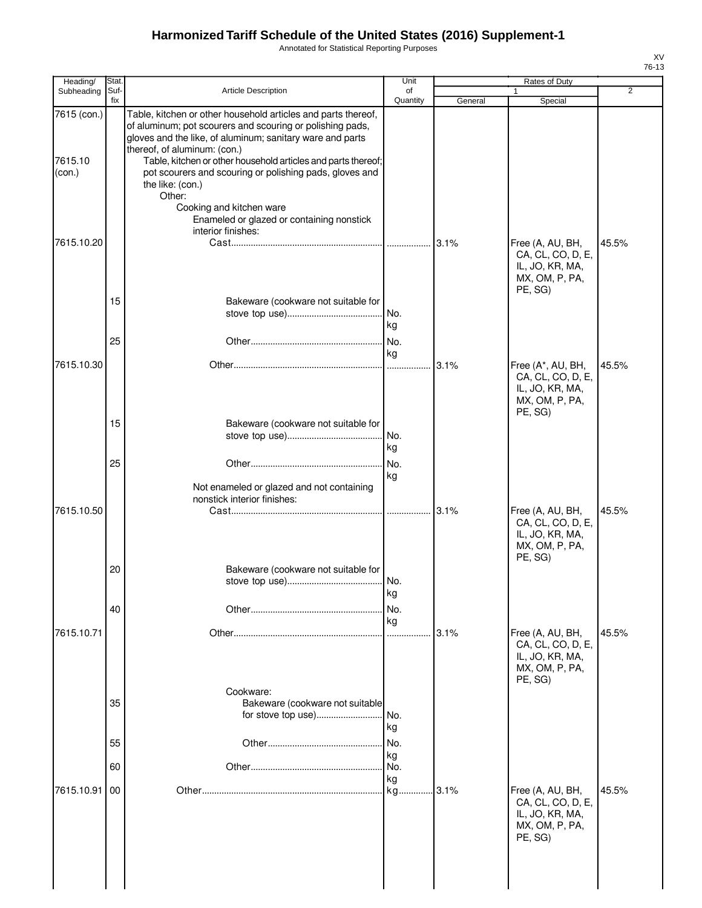Annotated for Statistical Reporting Purposes

| Heading/                                       | Stat.          |                                                                                                                                                                                                                                                                                                                                                                                                                                                                                  | Unit                          |         | Rates of Duty                                                                          |                |
|------------------------------------------------|----------------|----------------------------------------------------------------------------------------------------------------------------------------------------------------------------------------------------------------------------------------------------------------------------------------------------------------------------------------------------------------------------------------------------------------------------------------------------------------------------------|-------------------------------|---------|----------------------------------------------------------------------------------------|----------------|
| Subheading                                     | Suf-<br>fix    | <b>Article Description</b>                                                                                                                                                                                                                                                                                                                                                                                                                                                       | of<br>Quantity                | General | 1<br>Special                                                                           | $\overline{2}$ |
| 7615 (con.)<br>7615.10<br>(con.)<br>7615.10.20 |                | Table, kitchen or other household articles and parts thereof,<br>of aluminum; pot scourers and scouring or polishing pads,<br>gloves and the like, of aluminum; sanitary ware and parts<br>thereof, of aluminum: (con.)<br>Table, kitchen or other household articles and parts thereof;<br>pot scourers and scouring or polishing pads, gloves and<br>the like: (con.)<br>Other:<br>Cooking and kitchen ware<br>Enameled or glazed or containing nonstick<br>interior finishes: |                               | 3.1%    | Free (A, AU, BH,                                                                       | 45.5%          |
|                                                | 15<br>25       | Bakeware (cookware not suitable for                                                                                                                                                                                                                                                                                                                                                                                                                                              | kg<br>No.<br>kg               |         | CA, CL, CO, D, E,<br>IL, JO, KR, MA,<br>MX, OM, P, PA,<br>PE, SG)                      |                |
| 7615.10.30                                     | 15<br>25       | Bakeware (cookware not suitable for                                                                                                                                                                                                                                                                                                                                                                                                                                              | No.<br>kg<br>No.              | 3.1%    | Free (A*, AU, BH,<br>CA, CL, CO, D, E,<br>IL, JO, KR, MA,<br>MX, OM, P, PA,<br>PE, SG) | 45.5%          |
| 7615.10.50                                     |                | Not enameled or glazed and not containing<br>nonstick interior finishes:                                                                                                                                                                                                                                                                                                                                                                                                         | kg                            | 3.1%    | Free (A, AU, BH,<br>CA, CL, CO, D, E,<br>IL, JO, KR, MA,<br>MX, OM, P, PA,             | 45.5%          |
| 7615.10.71                                     | 20<br>40       | Bakeware (cookware not suitable for                                                                                                                                                                                                                                                                                                                                                                                                                                              | kg<br>No.<br>kg               | 3.1%    | PE, SG)<br>Free (A, AU, BH,                                                            | 45.5%          |
|                                                | 35<br>55<br>60 | Cookware:<br>Bakeware (cookware not suitable                                                                                                                                                                                                                                                                                                                                                                                                                                     | No.<br>kg<br>No.<br>kg<br>No. |         | CA, CL, CO, D, E,<br>IL, JO, KR, MA,<br>MX, OM, P, PA,<br>PE, SG)                      |                |
| 7615.10.91                                     | 00             |                                                                                                                                                                                                                                                                                                                                                                                                                                                                                  | kg<br>kg.                     | .3.1%   | Free (A, AU, BH,<br>CA, CL, CO, D, E,<br>IL, JO, KR, MA,<br>MX, OM, P, PA,<br>PE, SG)  | 45.5%          |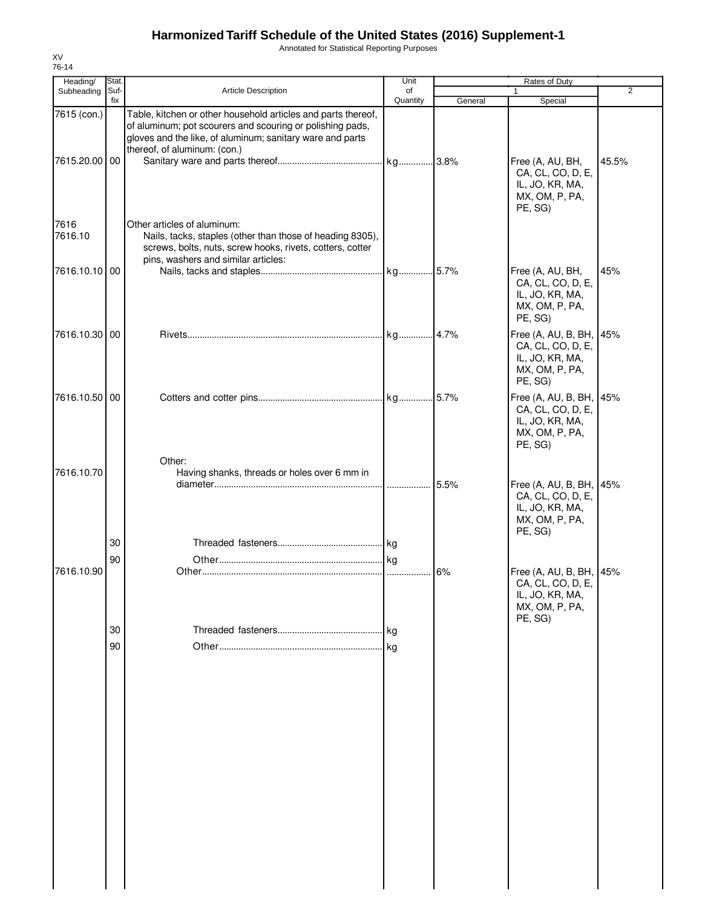Annotated for Statistical Reporting Purposes

| Heading/                     | Stat.       |                                                                                                                                                                                                                         | Unit           |         |                                                                                              |                |
|------------------------------|-------------|-------------------------------------------------------------------------------------------------------------------------------------------------------------------------------------------------------------------------|----------------|---------|----------------------------------------------------------------------------------------------|----------------|
| Subheading                   | Suf-<br>fix | Article Description                                                                                                                                                                                                     | of<br>Quantity | General | Special                                                                                      | $\overline{2}$ |
| 7615 (con.)<br>7615.20.00 00 |             | Table, kitchen or other household articles and parts thereof,<br>of aluminum; pot scourers and scouring or polishing pads,<br>gloves and the like, of aluminum; sanitary ware and parts<br>thereof, of aluminum: (con.) |                |         | Free (A, AU, BH,<br>CA, CL, CO, D, E,<br>IL, JO, KR, MA,<br>MX, OM, P, PA,<br>PE, SG)        | 45.5%          |
| 7616<br>7616.10              |             | Other articles of aluminum:<br>Nails, tacks, staples (other than those of heading 8305),<br>screws, bolts, nuts, screw hooks, rivets, cotters, cotter<br>pins, washers and similar articles:                            |                |         |                                                                                              |                |
| 7616.10.10 00                |             |                                                                                                                                                                                                                         |                |         | Free (A, AU, BH,<br>CA, CL, CO, D, E,<br>IL, JO, KR, MA,<br>MX, OM, P, PA,<br>PE, SG)        | 45%            |
| 7616.10.30 00                |             |                                                                                                                                                                                                                         |                |         | Free (A, AU, B, BH, 45%<br>CA, CL, CO, D, E,<br>IL, JO, KR, MA,<br>MX, OM, P, PA,<br>PE, SG) |                |
| 7616.10.50 00                |             |                                                                                                                                                                                                                         |                |         | Free (A, AU, B, BH, 45%<br>CA, CL, CO, D, E,<br>IL, JO, KR, MA,<br>MX, OM, P, PA,<br>PE, SG) |                |
| 7616.10.70                   |             | Other:<br>Having shanks, threads or holes over 6 mm in                                                                                                                                                                  |                | 5.5%    | Free (A, AU, B, BH, 45%<br>CA, CL, CO, D, E,<br>IL, JO, KR, MA,<br>MX, OM, P, PA,            |                |
|                              | 30          |                                                                                                                                                                                                                         |                |         | PE, SG)                                                                                      |                |
| 7616.10.90                   | 90          |                                                                                                                                                                                                                         |                | 6%      | Free (A, AU, B, BH, 45%<br>CA, CL, CO, D, E,<br>IL, JO, KR, MA,<br>MX, OM, P, PA,<br>PE, SG) |                |
|                              | 30          |                                                                                                                                                                                                                         |                |         |                                                                                              |                |
|                              | 90          |                                                                                                                                                                                                                         |                |         |                                                                                              |                |